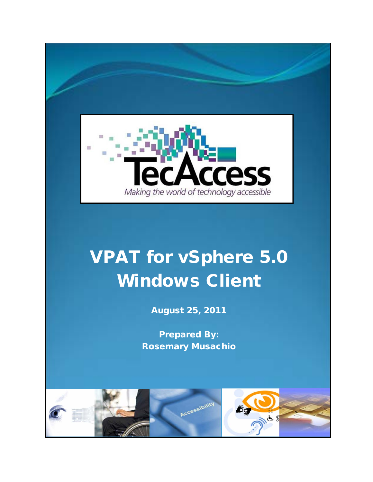

## VPAT for vSphere 5.0 Windows Client

August 25, 2011

Prepared By: Rosemary Musachio

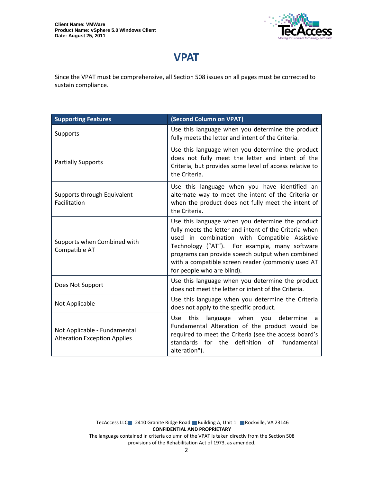

## **VPAT**

Since the VPAT must be comprehensive, all Section 508 issues on all pages must be corrected to sustain compliance.

| <b>Supporting Features</b>                                          | (Second Column on VPAT)                                                                                                                                                                                                                                                                                                                             |
|---------------------------------------------------------------------|-----------------------------------------------------------------------------------------------------------------------------------------------------------------------------------------------------------------------------------------------------------------------------------------------------------------------------------------------------|
| Supports                                                            | Use this language when you determine the product<br>fully meets the letter and intent of the Criteria.                                                                                                                                                                                                                                              |
| <b>Partially Supports</b>                                           | Use this language when you determine the product<br>does not fully meet the letter and intent of the<br>Criteria, but provides some level of access relative to<br>the Criteria.                                                                                                                                                                    |
| Supports through Equivalent<br>Facilitation                         | Use this language when you have identified an<br>alternate way to meet the intent of the Criteria or<br>when the product does not fully meet the intent of<br>the Criteria.                                                                                                                                                                         |
| Supports when Combined with<br>Compatible AT                        | Use this language when you determine the product<br>fully meets the letter and intent of the Criteria when<br>used in combination with Compatible Assistive<br>Technology ("AT"). For example, many software<br>programs can provide speech output when combined<br>with a compatible screen reader (commonly used AT<br>for people who are blind). |
| Does Not Support                                                    | Use this language when you determine the product<br>does not meet the letter or intent of the Criteria.                                                                                                                                                                                                                                             |
| Not Applicable                                                      | Use this language when you determine the Criteria<br>does not apply to the specific product.                                                                                                                                                                                                                                                        |
| Not Applicable - Fundamental<br><b>Alteration Exception Applies</b> | this<br>language when<br>determine<br>Use<br>you<br>a<br>Fundamental Alteration of the product would be<br>required to meet the Criteria (see the access board's<br>standards for the definition of "fundamental<br>alteration").                                                                                                                   |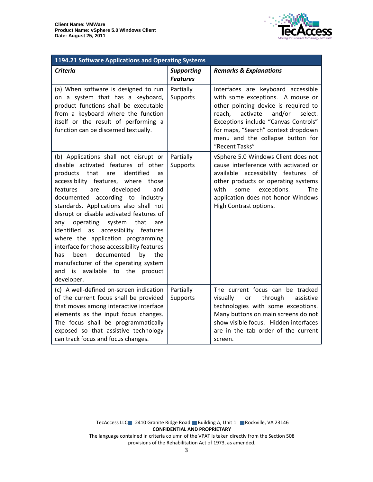

| 1194.21 Software Applications and Operating Systems                                                                                                                                                                                                                                                                                                                                                                                                                                                                                                                                                                                                        |                                      |                                                                                                                                                                                                                                                                                                |  |
|------------------------------------------------------------------------------------------------------------------------------------------------------------------------------------------------------------------------------------------------------------------------------------------------------------------------------------------------------------------------------------------------------------------------------------------------------------------------------------------------------------------------------------------------------------------------------------------------------------------------------------------------------------|--------------------------------------|------------------------------------------------------------------------------------------------------------------------------------------------------------------------------------------------------------------------------------------------------------------------------------------------|--|
| <b>Criteria</b>                                                                                                                                                                                                                                                                                                                                                                                                                                                                                                                                                                                                                                            | <b>Supporting</b><br><b>Features</b> | <b>Remarks &amp; Explanations</b>                                                                                                                                                                                                                                                              |  |
| (a) When software is designed to run<br>on a system that has a keyboard,<br>product functions shall be executable<br>from a keyboard where the function<br>itself or the result of performing a<br>function can be discerned textually.                                                                                                                                                                                                                                                                                                                                                                                                                    | Partially<br>Supports                | Interfaces are keyboard accessible<br>with some exceptions. A mouse or<br>other pointing device is required to<br>reach,<br>activate<br>and/or<br>select.<br>Exceptions include "Canvas Controls"<br>for maps, "Search" context dropdown<br>menu and the collapse button for<br>"Recent Tasks" |  |
| (b) Applications shall not disrupt or<br>disable activated features of other<br>identified<br>products<br>that<br>are<br>as<br>accessibility features, where<br>those<br>features<br>developed<br>are<br>and<br>documented according to industry<br>standards. Applications also shall not<br>disrupt or disable activated features of<br>any<br>operating<br>system<br>that<br>are<br>identified<br>accessibility<br>features<br>as<br>where the application programming<br>interface for those accessibility features<br>documented<br>has<br>been<br>by<br>the<br>manufacturer of the operating system<br>and is available to the product<br>developer. | Partially<br>Supports                | vSphere 5.0 Windows Client does not<br>cause interference with activated or<br>available accessibility features of<br>other products or operating systems<br>with<br>exceptions.<br>some<br><b>The</b><br>application does not honor Windows<br>High Contrast options.                         |  |
| (c) A well-defined on-screen indication<br>of the current focus shall be provided<br>that moves among interactive interface<br>elements as the input focus changes.<br>The focus shall be programmatically<br>exposed so that assistive technology<br>can track focus and focus changes.                                                                                                                                                                                                                                                                                                                                                                   | Partially<br>Supports                | The current focus can be tracked<br>visually<br>through<br>assistive<br>or<br>technologies with some exceptions.<br>Many buttons on main screens do not<br>show visible focus. Hidden interfaces<br>are in the tab order of the current<br>screen.                                             |  |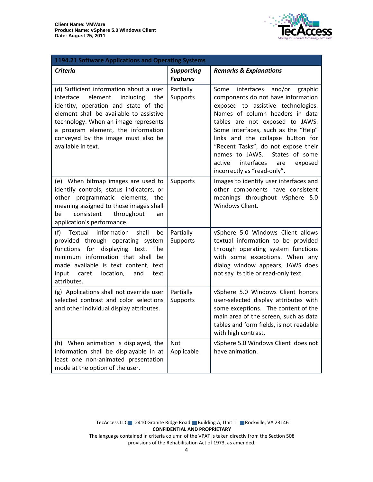

| <b>1194.21 Software Applications and Operating Systems</b>                                                                                                                                                                                                                                                       |                                      |                                                                                                                                                                                                                                                                                                                                                                                                                           |  |
|------------------------------------------------------------------------------------------------------------------------------------------------------------------------------------------------------------------------------------------------------------------------------------------------------------------|--------------------------------------|---------------------------------------------------------------------------------------------------------------------------------------------------------------------------------------------------------------------------------------------------------------------------------------------------------------------------------------------------------------------------------------------------------------------------|--|
| <b>Criteria</b>                                                                                                                                                                                                                                                                                                  | <b>Supporting</b><br><b>Features</b> | <b>Remarks &amp; Explanations</b>                                                                                                                                                                                                                                                                                                                                                                                         |  |
| (d) Sufficient information about a user<br>interface<br>element<br>including<br>the<br>identity, operation and state of the<br>element shall be available to assistive<br>technology. When an image represents<br>a program element, the information<br>conveyed by the image must also be<br>available in text. | Partially<br>Supports                | Some<br>interfaces<br>and/or<br>graphic<br>components do not have information<br>exposed to assistive technologies.<br>Names of column headers in data<br>tables are not exposed to JAWS.<br>Some interfaces, such as the "Help"<br>links and the collapse button for<br>"Recent Tasks", do not expose their<br>names to JAWS.<br>States of some<br>interfaces<br>active<br>exposed<br>are<br>incorrectly as "read-only". |  |
| (e) When bitmap images are used to<br>identify controls, status indicators, or<br>other programmatic elements,<br>the<br>meaning assigned to those images shall<br>throughout<br>consistent<br>be<br>an<br>application's performance.                                                                            | Supports                             | Images to identify user interfaces and<br>other components have consistent<br>meanings throughout vSphere 5.0<br>Windows Client.                                                                                                                                                                                                                                                                                          |  |
| information<br>shall<br>(f)<br>Textual<br>be<br>provided through operating system<br>functions for displaying text.<br>The<br>minimum information that shall be<br>made available is text content, text<br>location,<br>input<br>caret<br>and<br>text<br>attributes.                                             | Partially<br>Supports                | vSphere 5.0 Windows Client allows<br>textual information to be provided<br>through operating system functions<br>with some exceptions. When any<br>dialog window appears, JAWS does<br>not say its title or read-only text.                                                                                                                                                                                               |  |
| (g) Applications shall not override user<br>selected contrast and color selections<br>and other individual display attributes.                                                                                                                                                                                   | Partially<br>Supports                | vSphere 5.0 Windows Client honors<br>user-selected display attributes with<br>some exceptions. The content of the<br>main area of the screen, such as data<br>tables and form fields, is not readable<br>with high contrast.                                                                                                                                                                                              |  |
| (h) When animation is displayed, the<br>information shall be displayable in at<br>least one non-animated presentation<br>mode at the option of the user.                                                                                                                                                         | <b>Not</b><br>Applicable             | vSphere 5.0 Windows Client does not<br>have animation.                                                                                                                                                                                                                                                                                                                                                                    |  |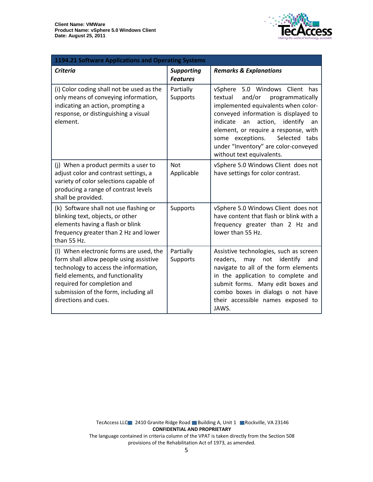

| 1194.21 Software Applications and Operating Systems                                                                                                                                                                                                              |                                      |                                                                                                                                                                                                                                                                                                                                                      |  |
|------------------------------------------------------------------------------------------------------------------------------------------------------------------------------------------------------------------------------------------------------------------|--------------------------------------|------------------------------------------------------------------------------------------------------------------------------------------------------------------------------------------------------------------------------------------------------------------------------------------------------------------------------------------------------|--|
| <b>Criteria</b>                                                                                                                                                                                                                                                  | <b>Supporting</b><br><b>Features</b> | <b>Remarks &amp; Explanations</b>                                                                                                                                                                                                                                                                                                                    |  |
| (i) Color coding shall not be used as the<br>only means of conveying information,<br>indicating an action, prompting a<br>response, or distinguishing a visual<br>element.                                                                                       | Partially<br>Supports                | vSphere 5.0 Windows Client has<br>and/or<br>programmatically<br>textual<br>implemented equivalents when color-<br>conveyed information is displayed to<br>indicate<br>action, identify<br>an<br>an<br>element, or require a response, with<br>Selected tabs<br>some exceptions.<br>under "Inventory" are color-conveyed<br>without text equivalents. |  |
| (j) When a product permits a user to<br>adjust color and contrast settings, a<br>variety of color selections capable of<br>producing a range of contrast levels<br>shall be provided.                                                                            | <b>Not</b><br>Applicable             | vSphere 5.0 Windows Client does not<br>have settings for color contrast.                                                                                                                                                                                                                                                                             |  |
| (k) Software shall not use flashing or<br>blinking text, objects, or other<br>elements having a flash or blink<br>frequency greater than 2 Hz and lower<br>than 55 Hz.                                                                                           | Supports                             | vSphere 5.0 Windows Client does not<br>have content that flash or blink with a<br>frequency greater than 2 Hz and<br>lower than 55 Hz.                                                                                                                                                                                                               |  |
| (I) When electronic forms are used, the<br>form shall allow people using assistive<br>technology to access the information,<br>field elements, and functionality<br>required for completion and<br>submission of the form, including all<br>directions and cues. | Partially<br>Supports                | Assistive technologies, such as screen<br>not identify<br>readers,<br>may<br>and<br>navigate to all of the form elements<br>in the application to complete and<br>submit forms. Many edit boxes and<br>combo boxes in dialogs o not have<br>their accessible names exposed to<br>JAWS.                                                               |  |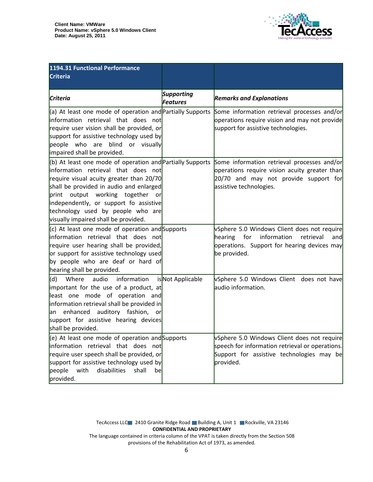

| 1194.31 Functional Performance<br><b>Criteria</b>                                                                                                                                                                                                                                                                                                     |                                      |                                                                                                                                                                  |
|-------------------------------------------------------------------------------------------------------------------------------------------------------------------------------------------------------------------------------------------------------------------------------------------------------------------------------------------------------|--------------------------------------|------------------------------------------------------------------------------------------------------------------------------------------------------------------|
| <b>Criteria</b>                                                                                                                                                                                                                                                                                                                                       | <b>Supporting</b><br><b>Features</b> | <b>Remarks and Explanations</b>                                                                                                                                  |
| (a) At least one mode of operation and Partially Supports<br>linformation retrieval that does not<br>require user vision shall be provided, or<br>support for assistive technology used by<br>people who are blind or visually<br>impaired shall be provided.                                                                                         |                                      | Some information retrieval processes and/or<br>operations require vision and may not provide<br>support for assistive technologies.                              |
| $($ b) At least one mode of operation and Partially Supports<br>information retrieval that does not<br>require visual acuity greater than 20/70<br>shall be provided in audio and enlarged<br>print output working together or<br>independently, or support fo assistive<br>technology used by people who are<br>visually impaired shall be provided. |                                      | Some information retrieval processes and/or<br>operations require vision acuity greater than<br>20/70 and may not provide support for<br>assistive technologies. |
| $(c)$ At least one mode of operation and Supports<br>linformation retrieval that does not<br>require user hearing shall be provided,<br>or support for assistive technology used<br>by people who are deaf or hard of<br>hearing shall be provided.                                                                                                   |                                      | vSphere 5.0 Windows Client does not require<br>information<br>for<br>retrieval<br>hearing<br>and<br>operations. Support for hearing devices may<br>be provided.  |
| Where audio information<br>(d)<br>important for the use of a product, at<br>least one mode of operation and<br>information retrieval shall be provided in<br>an enhanced auditory fashion, or<br>support for assistive hearing devices<br>shall be provided.                                                                                          | isNot Applicable                     | vSphere 5.0 Windows Client does not have<br>audio information.                                                                                                   |
| $\vert$ (e) At least one mode of operation and Supports<br>information retrieval that does not<br>require user speech shall be provided, or<br>support for assistive technology used by<br>people with<br>disabilities<br>shall<br>be<br>provided.                                                                                                    |                                      | vSphere 5.0 Windows Client does not require<br>speech for information retrieval or operations.<br>Support for assistive technologies may be<br>provided.         |